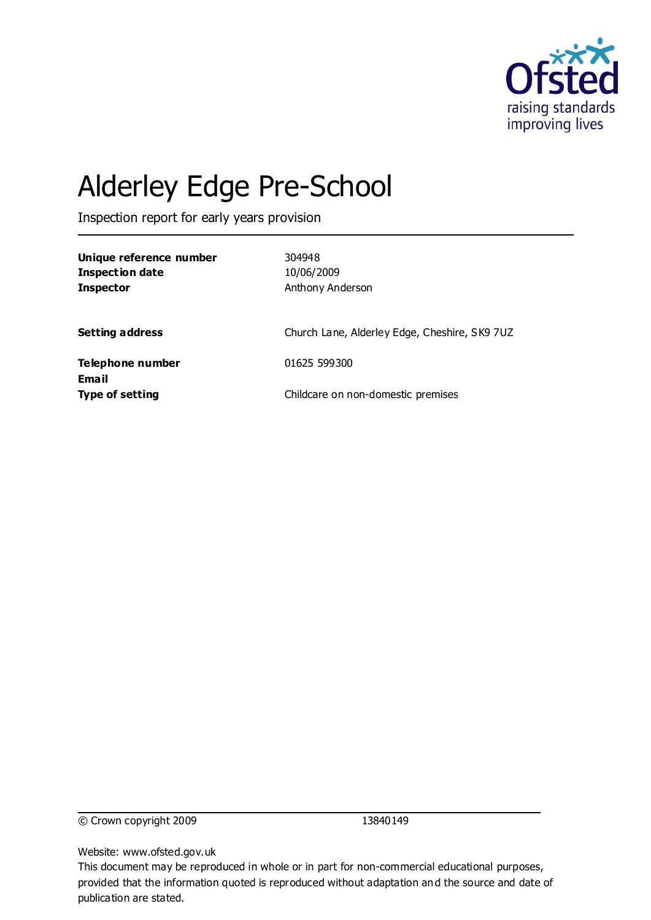

# Alderley Edge Pre-School

Inspection report for early years provision

| Unique reference number<br><b>Inspection date</b><br><b>Inspector</b> | 304948<br>10/06/2009<br>Anthony Anderson      |
|-----------------------------------------------------------------------|-----------------------------------------------|
| <b>Setting address</b>                                                | Church Lane, Alderley Edge, Cheshire, SK9 7UZ |
| Telephone number                                                      | 01625 599300                                  |
| Email<br><b>Type of setting</b>                                       | Childcare on non-domestic premises            |

© Crown copyright 2009 13840149

Website: www.ofsted.gov.uk

This document may be reproduced in whole or in part for non-commercial educational purposes, provided that the information quoted is reproduced without adaptation and the source and date of publication are stated.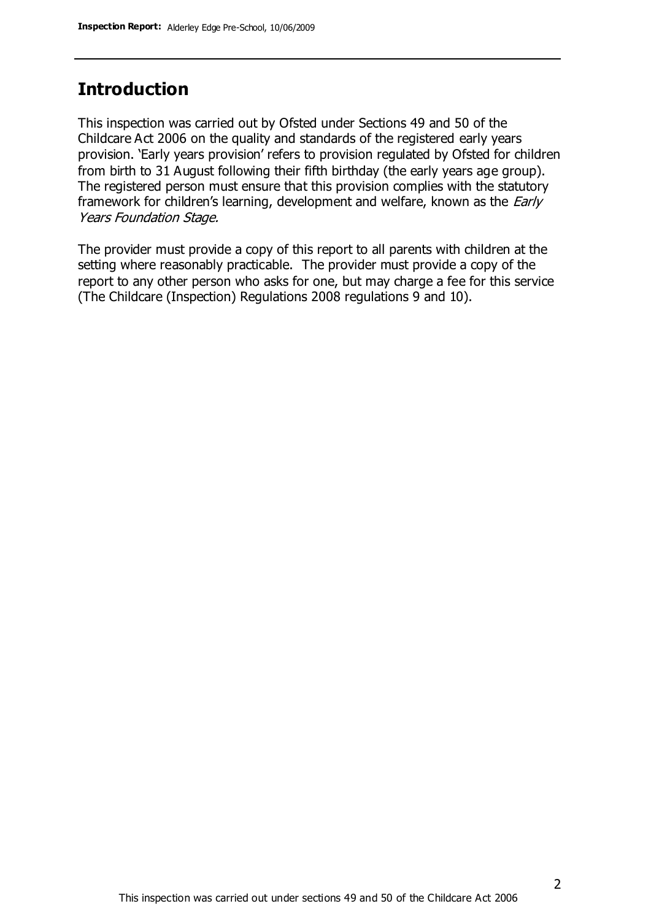#### **Introduction**

This inspection was carried out by Ofsted under Sections 49 and 50 of the Childcare Act 2006 on the quality and standards of the registered early years provision. 'Early years provision' refers to provision regulated by Ofsted for children from birth to 31 August following their fifth birthday (the early years age group). The registered person must ensure that this provision complies with the statutory framework for children's learning, development and welfare, known as the *Early* Years Foundation Stage.

The provider must provide a copy of this report to all parents with children at the setting where reasonably practicable. The provider must provide a copy of the report to any other person who asks for one, but may charge a fee for this service (The Childcare (Inspection) Regulations 2008 regulations 9 and 10).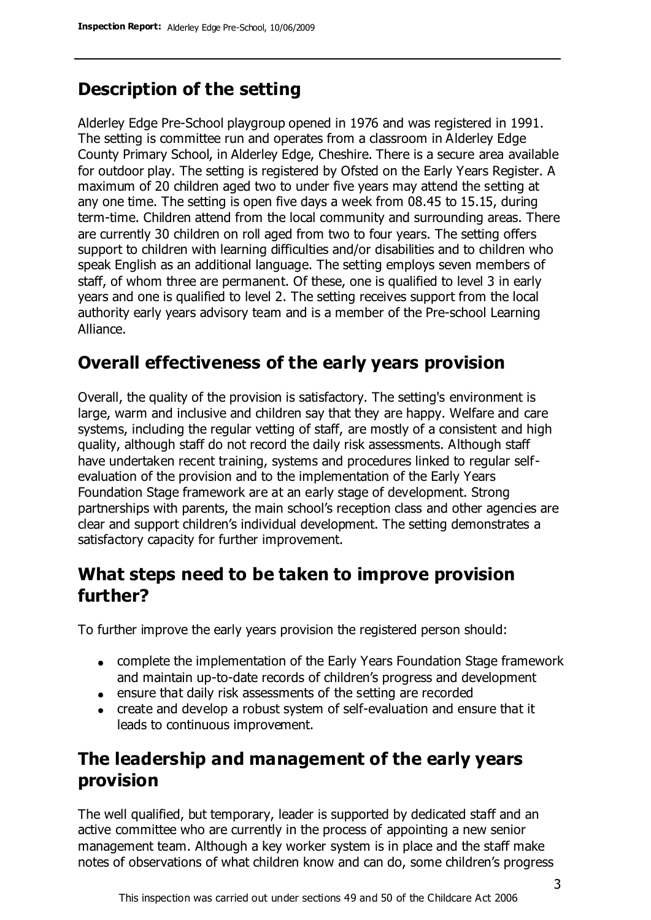## **Description of the setting**

Alderley Edge Pre-School playgroup opened in 1976 and was registered in 1991. The setting is committee run and operates from a classroom in Alderley Edge County Primary School, in Alderley Edge, Cheshire. There is a secure area available for outdoor play. The setting is registered by Ofsted on the Early Years Register. A maximum of 20 children aged two to under five years may attend the setting at any one time. The setting is open five days a week from 08.45 to 15.15, during term-time. Children attend from the local community and surrounding areas. There are currently 30 children on roll aged from two to four years. The setting offers support to children with learning difficulties and/or disabilities and to children who speak English as an additional language. The setting employs seven members of staff, of whom three are permanent. Of these, one is qualified to level 3 in early years and one is qualified to level 2. The setting receives support from the local authority early years advisory team and is a member of the Pre-school Learning Alliance.

#### **Overall effectiveness of the early years provision**

Overall, the quality of the provision is satisfactory. The setting's environment is large, warm and inclusive and children say that they are happy. Welfare and care systems, including the regular vetting of staff, are mostly of a consistent and high quality, although staff do not record the daily risk assessments. Although staff have undertaken recent training, systems and procedures linked to regular selfevaluation of the provision and to the implementation of the Early Years Foundation Stage framework are at an early stage of development. Strong partnerships with parents, the main school's reception class and other agencies are clear and support children's individual development. The setting demonstrates a satisfactory capacity for further improvement.

#### **What steps need to be taken to improve provision further?**

To further improve the early years provision the registered person should:

- complete the implementation of the Early Years Foundation Stage framework and maintain up-to-date records of children's progress and development
- ensure that daily risk assessments of the setting are recorded
- create and develop a robust system of self-evaluation and ensure that it leads to continuous improvement.

## **The leadership and management of the early years provision**

The well qualified, but temporary, leader is supported by dedicated staff and an active committee who are currently in the process of appointing a new senior management team. Although a key worker system is in place and the staff make notes of observations of what children know and can do, some children's progress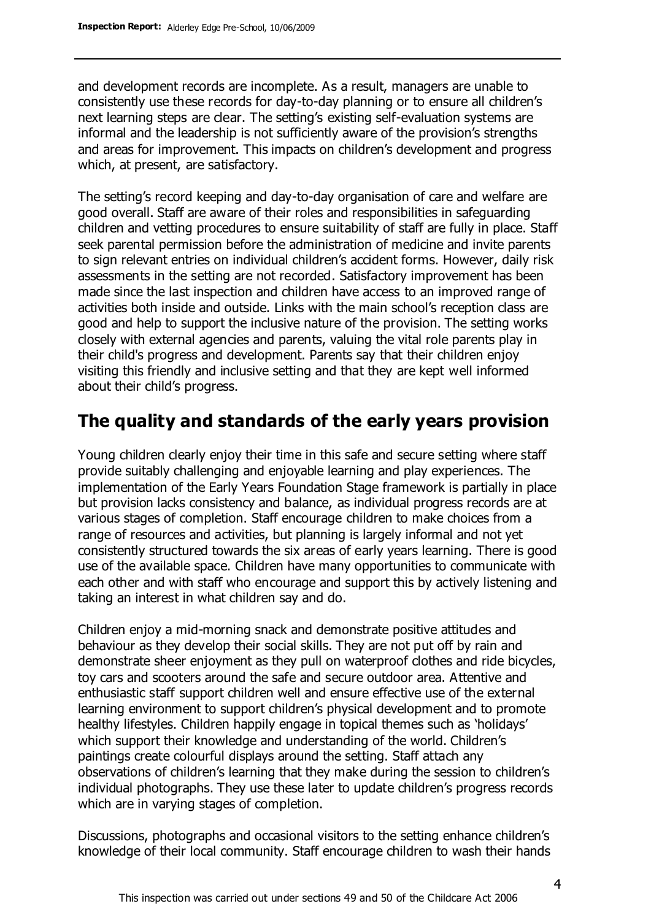and development records are incomplete. As a result, managers are unable to consistently use these records for day-to-day planning or to ensure all children's next learning steps are clear. The setting's existing self-evaluation systems are informal and the leadership is not sufficiently aware of the provision's strengths and areas for improvement. This impacts on children's development and progress which, at present, are satisfactory.

The setting's record keeping and day-to-day organisation of care and welfare are good overall. Staff are aware of their roles and responsibilities in safeguarding children and vetting procedures to ensure suitability of staff are fully in place. Staff seek parental permission before the administration of medicine and invite parents to sign relevant entries on individual children's accident forms. However, daily risk assessments in the setting are not recorded. Satisfactory improvement has been made since the last inspection and children have access to an improved range of activities both inside and outside. Links with the main school's reception class are good and help to support the inclusive nature of the provision. The setting works closely with external agencies and parents, valuing the vital role parents play in their child's progress and development. Parents say that their children enjoy visiting this friendly and inclusive setting and that they are kept well informed about their child's progress.

#### **The quality and standards of the early years provision**

Young children clearly enjoy their time in this safe and secure setting where staff provide suitably challenging and enjoyable learning and play experiences. The implementation of the Early Years Foundation Stage framework is partially in place but provision lacks consistency and balance, as individual progress records are at various stages of completion. Staff encourage children to make choices from a range of resources and activities, but planning is largely informal and not yet consistently structured towards the six areas of early years learning. There is good use of the available space. Children have many opportunities to communicate with each other and with staff who encourage and support this by actively listening and taking an interest in what children say and do.

Children enjoy a mid-morning snack and demonstrate positive attitudes and behaviour as they develop their social skills. They are not put off by rain and demonstrate sheer enjoyment as they pull on waterproof clothes and ride bicycles, toy cars and scooters around the safe and secure outdoor area. Attentive and enthusiastic staff support children well and ensure effective use of the external learning environment to support children's physical development and to promote healthy lifestyles. Children happily engage in topical themes such as 'holidays' which support their knowledge and understanding of the world. Children's paintings create colourful displays around the setting. Staff attach any observations of children's learning that they make during the session to children's individual photographs. They use these later to update children's progress records which are in varying stages of completion.

Discussions, photographs and occasional visitors to the setting enhance children's knowledge of their local community. Staff encourage children to wash their hands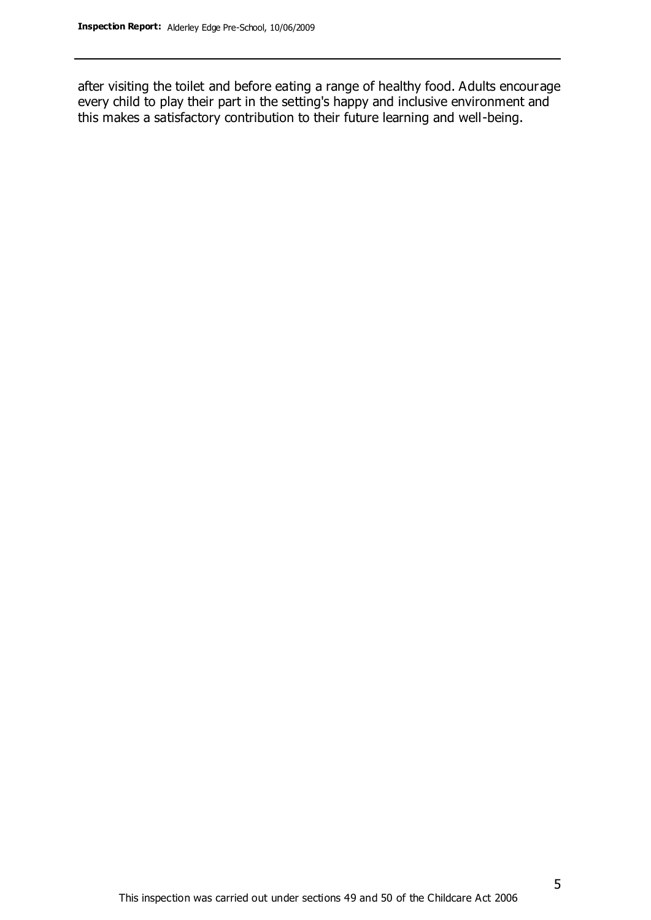after visiting the toilet and before eating a range of healthy food. Adults encourage every child to play their part in the setting's happy and inclusive environment and this makes a satisfactory contribution to their future learning and well-being.